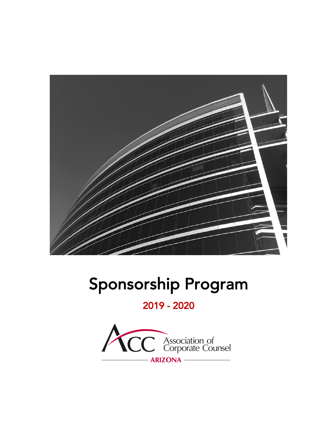

# Sponsorship Program

2019 - 2020

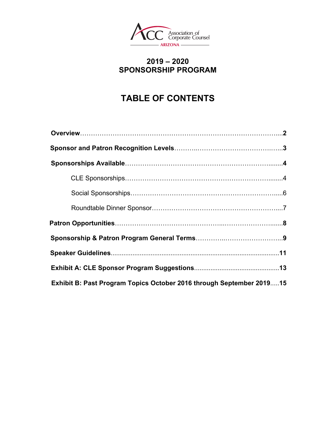

## **2019 – 2020 SPONSORSHIP PROGRAM**

## **TABLE OF CONTENTS**

| Exhibit B: Past Program Topics October 2016 through September 201915 |
|----------------------------------------------------------------------|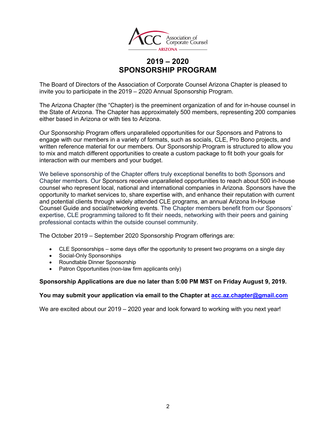

## **2019 – 2020 SPONSORSHIP PROGRAM**

The Board of Directors of the Association of Corporate Counsel Arizona Chapter is pleased to invite you to participate in the 2019 – 2020 Annual Sponsorship Program.

The Arizona Chapter (the "Chapter) is the preeminent organization of and for in-house counsel in the State of Arizona. The Chapter has approximately 500 members, representing 200 companies either based in Arizona or with ties to Arizona.

Our Sponsorship Program offers unparalleled opportunities for our Sponsors and Patrons to engage with our members in a variety of formats, such as socials, CLE, Pro Bono projects, and written reference material for our members. Our Sponsorship Program is structured to allow you to mix and match different opportunities to create a custom package to fit both your goals for interaction with our members and your budget.

We believe sponsorship of the Chapter offers truly exceptional benefits to both Sponsors and Chapter members. Our Sponsors receive unparalleled opportunities to reach about 500 in-house counsel who represent local, national and international companies in Arizona. Sponsors have the opportunity to market services to, share expertise with, and enhance their reputation with current and potential clients through widely attended CLE programs, an annual Arizona In-House Counsel Guide and social/networking events. The Chapter members benefit from our Sponsors' expertise, CLE programming tailored to fit their needs, networking with their peers and gaining professional contacts within the outside counsel community.

The October 2019 – September 2020 Sponsorship Program offerings are:

- CLE Sponsorships some days offer the opportunity to present two programs on a single day
- Social-Only Sponsorships
- Roundtable Dinner Sponsorship
- Patron Opportunities (non-law firm applicants only)

#### **Sponsorship Applications are due no later than 5:00 PM MST on Friday August 9, 2019.**

#### **You may submit your application via email to the Chapter at acc.az.chapter@gmail.com**

We are excited about our 2019 – 2020 year and look forward to working with you next year!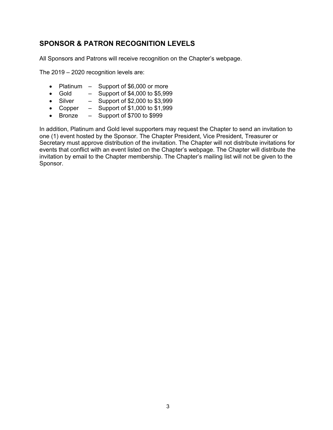## **SPONSOR & PATRON RECOGNITION LEVELS**

All Sponsors and Patrons will receive recognition on the Chapter's webpage.

The 2019 – 2020 recognition levels are:

- Platinum Support of \$6,000 or more
- Gold  $-$  Support of \$4,000 to \$5,999
- Silver  $-$  Support of \$2,000 to \$3,999
- Copper  $-$  Support of \$1,000 to \$1,999
- Bronze Support of \$700 to \$999

In addition, Platinum and Gold level supporters may request the Chapter to send an invitation to one (1) event hosted by the Sponsor. The Chapter President, Vice President, Treasurer or Secretary must approve distribution of the invitation. The Chapter will not distribute invitations for events that conflict with an event listed on the Chapter's webpage. The Chapter will distribute the invitation by email to the Chapter membership. The Chapter's mailing list will not be given to the Sponsor.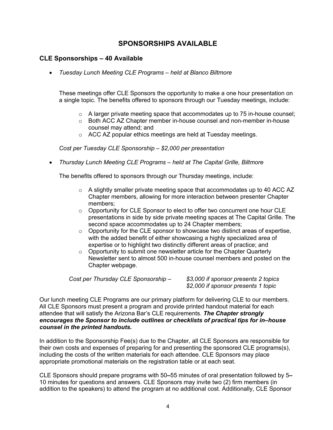## **SPONSORSHIPS AVAILABLE**

## **CLE Sponsorships – 40 Available**

• *Tuesday Lunch Meeting CLE Programs – held at Blanco Biltmore*

These meetings offer CLE Sponsors the opportunity to make a one hour presentation on a single topic. The benefits offered to sponsors through our Tuesday meetings, include:

- $\circ$  A larger private meeting space that accommodates up to 75 in-house counsel;
- $\circ$  Both ACC AZ Chapter member in-house counsel and non-member in-house counsel may attend; and
- o ACC AZ popular ethics meetings are held at Tuesday meetings.

*Cost per Tuesday CLE Sponsorship – \$2,000 per presentation*

• *Thursday Lunch Meeting CLE Programs – held at The Capital Grille, Biltmore*

The benefits offered to sponsors through our Thursday meetings, include:

- $\circ$  A slightly smaller private meeting space that accommodates up to 40 ACC AZ Chapter members, allowing for more interaction between presenter Chapter members;
- $\circ$  Opportunity for CLE Sponsor to elect to offer two concurrent one hour CLE presentations in side by side private meeting spaces at The Capital Grille. The second space accommodates up to 24 Chapter members;
- $\circ$  Opportunity for the CLE sponsor to showcase two distinct areas of expertise, with the added benefit of either showcasing a highly specialized area of expertise or to highlight two distinctly different areas of practice; and
- $\circ$  Opportunity to submit one newsletter article for the Chapter Quarterly Newsletter sent to almost 500 in-house counsel members and posted on the Chapter webpage.

*Cost per Thursday CLE Sponsorship – \$3,000 if sponsor presents 2 topics*

*\$2,000 if sponsor presents 1 topic*

Our lunch meeting CLE Programs are our primary platform for delivering CLE to our members. All CLE Sponsors must present a program and provide printed handout material for each attendee that will satisfy the Arizona Bar's CLE requirements. *The Chapter strongly encourages the Sponsor to include outlines or checklists of practical tips for in***–***house counsel in the printed handouts.*

In addition to the Sponsorship Fee(s) due to the Chapter, all CLE Sponsors are responsible for their own costs and expenses of preparing for and presenting the sponsored CLE programs(s), including the costs of the written materials for each attendee. CLE Sponsors may place appropriate promotional materials on the registration table or at each seat.

CLE Sponsors should prepare programs with 50**–**55 minutes of oral presentation followed by 5**–** 10 minutes for questions and answers. CLE Sponsors may invite two (2) firm members (in addition to the speakers) to attend the program at no additional cost. Additionally, CLE Sponsor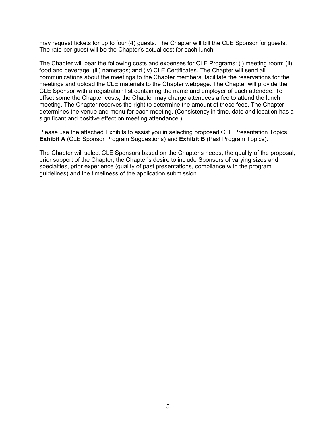may request tickets for up to four (4) guests. The Chapter will bill the CLE Sponsor for guests. The rate per guest will be the Chapter's actual cost for each lunch.

The Chapter will bear the following costs and expenses for CLE Programs: (i) meeting room; (ii) food and beverage; (iii) nametags; and (iv) CLE Certificates. The Chapter will send all communications about the meetings to the Chapter members, facilitate the reservations for the meetings and upload the CLE materials to the Chapter webpage. The Chapter will provide the CLE Sponsor with a registration list containing the name and employer of each attendee. To offset some the Chapter costs, the Chapter may charge attendees a fee to attend the lunch meeting. The Chapter reserves the right to determine the amount of these fees. The Chapter determines the venue and menu for each meeting. (Consistency in time, date and location has a significant and positive effect on meeting attendance.)

Please use the attached Exhibits to assist you in selecting proposed CLE Presentation Topics. **Exhibit A** (CLE Sponsor Program Suggestions) and **Exhibit B** (Past Program Topics).

The Chapter will select CLE Sponsors based on the Chapter's needs, the quality of the proposal, prior support of the Chapter, the Chapter's desire to include Sponsors of varying sizes and specialties, prior experience (quality of past presentations, compliance with the program guidelines) and the timeliness of the application submission.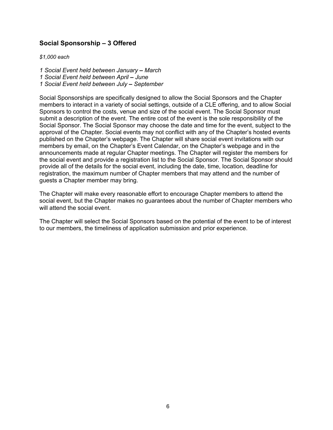## **Social Sponsorship – 3 Offered**

*\$1,000 each*

*1 Social Event held between January – March 1 Social Event held between April – June*

*1 Social Event held between July – September*

Social Sponsorships are specifically designed to allow the Social Sponsors and the Chapter members to interact in a variety of social settings, outside of a CLE offering, and to allow Social Sponsors to control the costs, venue and size of the social event. The Social Sponsor must submit a description of the event. The entire cost of the event is the sole responsibility of the Social Sponsor. The Social Sponsor may choose the date and time for the event, subject to the approval of the Chapter. Social events may not conflict with any of the Chapter's hosted events published on the Chapter's webpage. The Chapter will share social event invitations with our members by email, on the Chapter's Event Calendar, on the Chapter's webpage and in the announcements made at regular Chapter meetings. The Chapter will register the members for the social event and provide a registration list to the Social Sponsor. The Social Sponsor should provide all of the details for the social event, including the date, time, location, deadline for registration, the maximum number of Chapter members that may attend and the number of guests a Chapter member may bring.

The Chapter will make every reasonable effort to encourage Chapter members to attend the social event, but the Chapter makes no guarantees about the number of Chapter members who will attend the social event.

The Chapter will select the Social Sponsors based on the potential of the event to be of interest to our members, the timeliness of application submission and prior experience.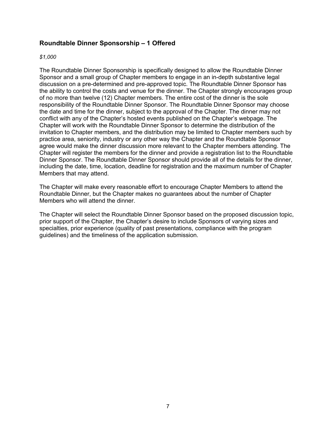## **Roundtable Dinner Sponsorship – 1 Offered**

#### *\$1,000*

The Roundtable Dinner Sponsorship is specifically designed to allow the Roundtable Dinner Sponsor and a small group of Chapter members to engage in an in-depth substantive legal discussion on a pre-determined and pre-approved topic. The Roundtable Dinner Sponsor has the ability to control the costs and venue for the dinner. The Chapter strongly encourages group of no more than twelve (12) Chapter members. The entire cost of the dinner is the sole responsibility of the Roundtable Dinner Sponsor. The Roundtable Dinner Sponsor may choose the date and time for the dinner, subject to the approval of the Chapter. The dinner may not conflict with any of the Chapter's hosted events published on the Chapter's webpage. The Chapter will work with the Roundtable Dinner Sponsor to determine the distribution of the invitation to Chapter members, and the distribution may be limited to Chapter members such by practice area, seniority, industry or any other way the Chapter and the Roundtable Sponsor agree would make the dinner discussion more relevant to the Chapter members attending. The Chapter will register the members for the dinner and provide a registration list to the Roundtable Dinner Sponsor. The Roundtable Dinner Sponsor should provide all of the details for the dinner, including the date, time, location, deadline for registration and the maximum number of Chapter Members that may attend.

The Chapter will make every reasonable effort to encourage Chapter Members to attend the Roundtable Dinner, but the Chapter makes no guarantees about the number of Chapter Members who will attend the dinner.

The Chapter will select the Roundtable Dinner Sponsor based on the proposed discussion topic, prior support of the Chapter, the Chapter's desire to include Sponsors of varying sizes and specialties, prior experience (quality of past presentations, compliance with the program guidelines) and the timeliness of the application submission.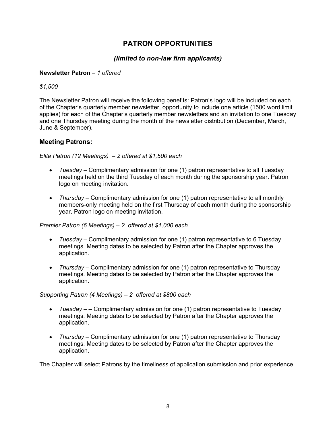## **PATRON OPPORTUNITIES**

## *(limited to non-law firm applicants)*

## **Newsletter Patron** *– 1 offered*

*\$1,500*

The Newsletter Patron will receive the following benefits: Patron's logo will be included on each of the Chapter's quarterly member newsletter, opportunity to include one article (1500 word limit applies) for each of the Chapter's quarterly member newsletters and an invitation to one Tuesday and one Thursday meeting during the month of the newsletter distribution (December, March, June & September).

## **Meeting Patrons:**

## *Elite Patron (12 Meetings) – 2 offered at \$1,500 each*

- *Tuesday –* Complimentary admission for one (1) patron representative to all Tuesday meetings held on the third Tuesday of each month during the sponsorship year. Patron logo on meeting invitation.
- *Thursday –* Complimentary admission for one (1) patron representative to all monthly members-only meeting held on the first Thursday of each month during the sponsorship year. Patron logo on meeting invitation.

## *Premier Patron (6 Meetings) – 2 offered at \$1,000 each*

- *Tuesday –* Complimentary admission for one (1) patron representative to 6 Tuesday meetings. Meeting dates to be selected by Patron after the Chapter approves the application.
- *Thursday –* Complimentary admission for one (1) patron representative to Thursday meetings. Meeting dates to be selected by Patron after the Chapter approves the application.

## *Supporting Patron (4 Meetings) – 2 offered at \$800 each*

- *Tuesday – –* Complimentary admission for one (1) patron representative to Tuesday meetings. Meeting dates to be selected by Patron after the Chapter approves the application.
- *Thursday –* Complimentary admission for one (1) patron representative to Thursday meetings. Meeting dates to be selected by Patron after the Chapter approves the application.

The Chapter will select Patrons by the timeliness of application submission and prior experience.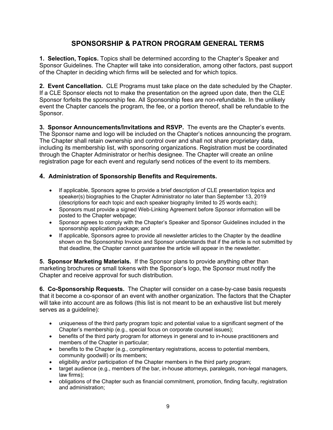## **SPONSORSHIP & PATRON PROGRAM GENERAL TERMS**

**1. Selection, Topics.** Topics shall be determined according to the Chapter's Speaker and Sponsor Guidelines. The Chapter will take into consideration, among other factors, past support of the Chapter in deciding which firms will be selected and for which topics.

**2. Event Cancellation.** CLE Programs must take place on the date scheduled by the Chapter. If a CLE Sponsor elects not to make the presentation on the agreed upon date, then the CLE Sponsor forfeits the sponsorship fee. All Sponsorship fees are non-refundable. In the unlikely event the Chapter cancels the program, the fee, or a portion thereof, shall be refundable to the Sponsor.

**3. Sponsor Announcements/Invitations and RSVP.** The events are the Chapter's events. The Sponsor name and logo will be included on the Chapter's notices announcing the program. The Chapter shall retain ownership and control over and shall not share proprietary data, including its membership list, with sponsoring organizations. Registration must be coordinated through the Chapter Administrator or her/his designee. The Chapter will create an online registration page for each event and regularly send notices of the event to its members.

## **4. Administration of Sponsorship Benefits and Requirements.**

- If applicable, Sponsors agree to provide a brief description of CLE presentation topics and speaker(s) biographies to the Chapter Administrator no later than September 13, 2019 (descriptions for each topic and each speaker biography limited to 25 words each);
- Sponsors must provide a signed Web-Linking Agreement before Sponsor information will be posted to the Chapter webpage;
- Sponsor agrees to comply with the Chapter's Speaker and Sponsor Guidelines included in the sponsorship application package; and
- If applicable, Sponsors agree to provide all newsletter articles to the Chapter by the deadline shown on the Sponsorship Invoice and Sponsor understands that if the article is not submitted by that deadline, the Chapter cannot guarantee the article will appear in the newsletter.

**5. Sponsor Marketing Materials.** If the Sponsor plans to provide anything other than marketing brochures or small tokens with the Sponsor's logo, the Sponsor must notify the Chapter and receive approval for such distribution.

**6. Co-Sponsorship Requests.** The Chapter will consider on a case-by-case basis requests that it become a co-sponsor of an event with another organization. The factors that the Chapter will take into account are as follows (this list is not meant to be an exhaustive list but merely serves as a guideline):

- uniqueness of the third party program topic and potential value to a significant segment of the Chapter's membership (e.g., special focus on corporate counsel issues);
- benefits of the third party program for attorneys in general and to in-house practitioners and members of the Chapter in particular;
- benefits to the Chapter (e.g., complimentary registrations, access to potential members, community goodwill) or its members;
- eligibility and/or participation of the Chapter members in the third party program;
- target audience (e.g., members of the bar, in-house attorneys, paralegals, non-legal managers, law firms);
- obligations of the Chapter such as financial commitment, promotion, finding faculty, registration and administration;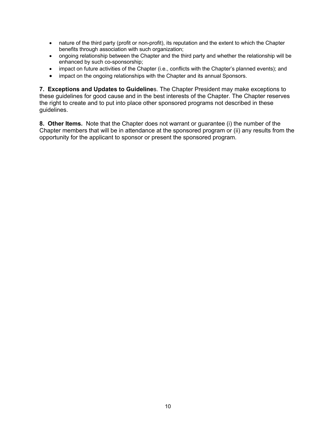- nature of the third party (profit or non-profit), its reputation and the extent to which the Chapter benefits through association with such organization;
- ongoing relationship between the Chapter and the third party and whether the relationship will be enhanced by such co-sponsorship;
- impact on future activities of the Chapter (i.e., conflicts with the Chapter's planned events); and
- impact on the ongoing relationships with the Chapter and its annual Sponsors.

**7. Exceptions and Updates to Guideline**s. The Chapter President may make exceptions to these guidelines for good cause and in the best interests of the Chapter. The Chapter reserves the right to create and to put into place other sponsored programs not described in these guidelines.

**8. Other Items.** Note that the Chapter does not warrant or guarantee (i) the number of the Chapter members that will be in attendance at the sponsored program or (ii) any results from the opportunity for the applicant to sponsor or present the sponsored program.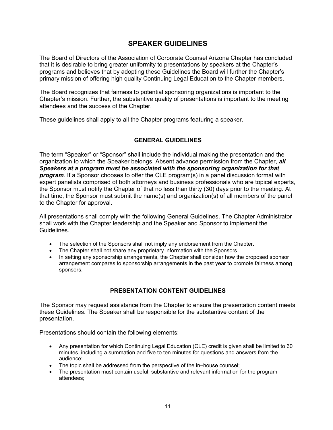## **SPEAKER GUIDELINES**

The Board of Directors of the Association of Corporate Counsel Arizona Chapter has concluded that it is desirable to bring greater uniformity to presentations by speakers at the Chapter's programs and believes that by adopting these Guidelines the Board will further the Chapter's primary mission of offering high quality Continuing Legal Education to the Chapter members.

The Board recognizes that fairness to potential sponsoring organizations is important to the Chapter's mission. Further, the substantive quality of presentations is important to the meeting attendees and the success of the Chapter.

These guidelines shall apply to all the Chapter programs featuring a speaker.

## **GENERAL GUIDELINES**

The term "Speaker" or "Sponsor" shall include the individual making the presentation and the organization to which the Speaker belongs. Absent advance permission from the Chapter, *all Speakers at a program must be associated with the sponsoring organization for that program*. If a Sponsor chooses to offer the CLE program(s) in a panel discussion format with expert panelists comprised of both attorneys and business professionals who are topical experts, the Sponsor must notify the Chapter of that no less than thirty (30) days prior to the meeting. At that time, the Sponsor must submit the name(s) and organization(s) of all members of the panel to the Chapter for approval.

All presentations shall comply with the following General Guidelines. The Chapter Administrator shall work with the Chapter leadership and the Speaker and Sponsor to implement the Guidelines.

- The selection of the Sponsors shall not imply any endorsement from the Chapter.
- The Chapter shall not share any proprietary information with the Sponsors.
- In setting any sponsorship arrangements, the Chapter shall consider how the proposed sponsor arrangement compares to sponsorship arrangements in the past year to promote fairness among sponsors.

## **PRESENTATION CONTENT GUIDELINES**

The Sponsor may request assistance from the Chapter to ensure the presentation content meets these Guidelines. The Speaker shall be responsible for the substantive content of the presentation.

Presentations should contain the following elements:

- Any presentation for which Continuing Legal Education (CLE) credit is given shall be limited to 60 minutes, including a summation and five to ten minutes for questions and answers from the audience;
- The topic shall be addressed from the perspective of the in**–**house counsel;
- The presentation must contain useful, substantive and relevant information for the program attendees;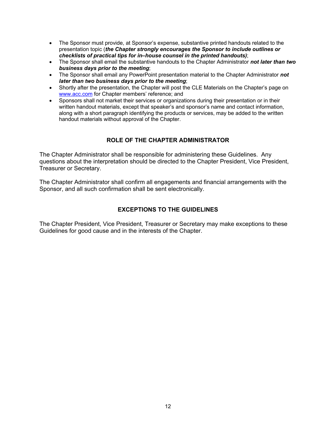- The Sponsor must provide, at Sponsor's expense, substantive printed handouts related to the presentation topic (*the Chapter strongly encourages the Sponsor to include outlines or checklists of practical tips for in***–***house counsel in the printed handouts)*;
- The Sponsor shall email the substantive handouts to the Chapter Administrator *not later than two business days prior to the meeting*;
- The Sponsor shall email any PowerPoint presentation material to the Chapter Administrator *not later than two business days prior to the meeting*;
- Shortly after the presentation, the Chapter will post the CLE Materials on the Chapter's page on www.acc.com for Chapter members' reference; and
- Sponsors shall not market their services or organizations during their presentation or in their written handout materials, except that speaker's and sponsor's name and contact information, along with a short paragraph identifying the products or services, may be added to the written handout materials without approval of the Chapter.

## **ROLE OF THE CHAPTER ADMINISTRATOR**

The Chapter Administrator shall be responsible for administering these Guidelines. Any questions about the interpretation should be directed to the Chapter President, Vice President, Treasurer or Secretary.

The Chapter Administrator shall confirm all engagements and financial arrangements with the Sponsor, and all such confirmation shall be sent electronically.

## **EXCEPTIONS TO THE GUIDELINES**

The Chapter President, Vice President, Treasurer or Secretary may make exceptions to these Guidelines for good cause and in the interests of the Chapter.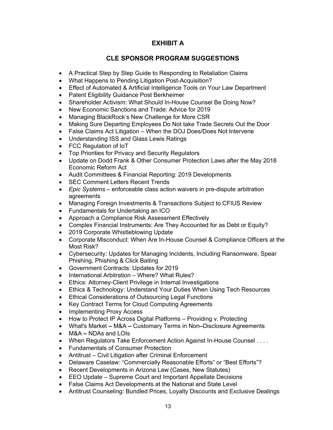## **EXHIBIT A**

## **CLE SPONSOR PROGRAM SUGGESTIONS**

- A Practical Step by Step Guide to Responding to Retaliation Claims
- What Happens to Pending Litigation Post-Acquisition?
- Effect of Automated & Artificial Intelligence Tools on Your Law Department
- Patent Eligibility Guidance Post Berkheimer
- Shareholder Activism: What Should In-House Counsel Be Doing Now?
- New Economic Sanctions and Trade: Advice for 2019
- Managing BlackRock's New Challenge for More CSR
- Making Sure Departing Employees Do Not take Trade Secrets Out the Door
- False Claims Act Litigation When the DOJ Does/Does Not Intervene
- Understanding ISS and Glass Lewis Ratings
- FCC Regulation of IoT
- Top Priorities for Privacy and Security Regulators
- Update on Dodd Frank & Other Consumer Protection Laws after the May 2018 Economic Reform Act
- Audit Committees & Financial Reporting: 2019 Developments
- SEC Comment Letters Recent Trends
- *Epic Systems* enforceable class action waivers in pre-dispute arbitration agreements
- Managing Foreign Investments & Transactions Subject to CFIUS Review
- Fundamentals for Undertaking an ICO
- Approach a Compliance Risk Assessment Effectively
- Complex Financial Instruments: Are They Accounted for as Debt or Equity?
- 2019 Corporate Whistleblowing Update
- Corporate Misconduct: When Are In-House Counsel & Compliance Officers at the Most Risk?
- Cybersecurity: Updates for Managing Incidents, Including Ransomware, Spear Phishing, Phishing & Click Baiting
- Government Contracts: Updates for 2019
- International Arbitration Where? What Rules?
- Ethics: Attorney-Client Privilege in Internal Investigations
- Ethics & Technology: Understand Your Duties When Using Tech Resources
- Ethical Considerations of Outsourcing Legal Functions
- Key Contract Terms for Cloud Computing Agreements
- Implementing Proxy Access
- How to Protect IP Across Digital Platforms Providing v. Protecting
- What's Market **–** M&A **–** Customary Terms in Non**–**Disclosure Agreements
- M&A **–** NDAs and LOIs
- When Regulators Take Enforcement Action Against In-House Counsel . . . .
- Fundamentals of Consumer Protection
- Antitrust Civil Litigation after Criminal Enforcement
- Delaware Caselaw: "Commercially Reasonable Efforts" or "Best Efforts"?
- Recent Developments in Arizona Law (Cases, New Statutes)
- EEO Update Supreme Court and Important Appellate Decisions
- False Claims Act Developments at the National and State Level
- Antitrust Counseling: Bundled Prices, Loyalty Discounts and Exclusive Dealings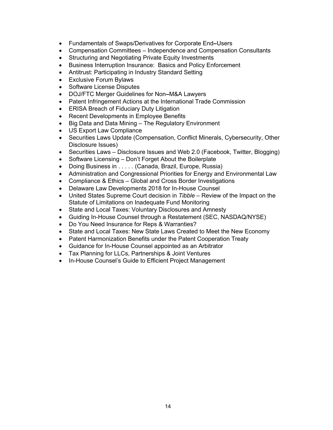- Fundamentals of Swaps/Derivatives for Corporate End**–**Users
- Compensation Committees Independence and Compensation Consultants
- Structuring and Negotiating Private Equity Investments
- Business Interruption Insurance: Basics and Policy Enforcement
- Antitrust: Participating in Industry Standard Setting
- Exclusive Forum Bylaws
- Software License Disputes
- DOJ/FTC Merger Guidelines for Non**–**M&A Lawyers
- Patent Infringement Actions at the International Trade Commission
- ERISA Breach of Fiduciary Duty Litigation
- Recent Developments in Employee Benefits
- Big Data and Data Mining The Regulatory Environment
- US Export Law Compliance
- Securities Laws Update (Compensation, Conflict Minerals, Cybersecurity, Other Disclosure Issues)
- Securities Laws Disclosure Issues and Web 2.0 (Facebook, Twitter, Blogging)
- Software Licensing Don't Forget About the Boilerplate
- Doing Business in . . . . . (Canada, Brazil, Europe, Russia)
- Administration and Congressional Priorities for Energy and Environmental Law
- Compliance & Ethics Global and Cross Border Investigations
- Delaware Law Developments 2018 for In-House Counsel
- United States Supreme Court decision in *Tibble* Review of the Impact on the Statute of Limitations on Inadequate Fund Monitoring
- State and Local Taxes: Voluntary Disclosures and Amnesty
- Guiding In-House Counsel through a Restatement (SEC, NASDAQ/NYSE)
- Do You Need Insurance for Reps & Warranties?
- State and Local Taxes: New State Laws Created to Meet the New Economy
- Patent Harmonization Benefits under the Patent Cooperation Treaty
- Guidance for In-House Counsel appointed as an Arbitrator
- Tax Planning for LLCs, Partnerships & Joint Ventures
- In-House Counsel's Guide to Efficient Project Management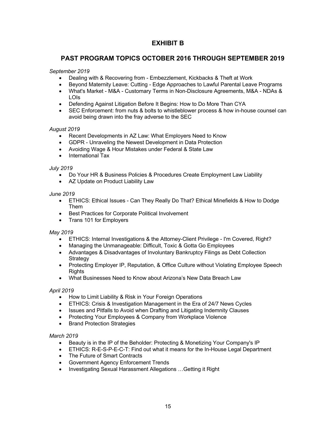## **EXHIBIT B**

## **PAST PROGRAM TOPICS OCTOBER 2016 THROUGH SEPTEMBER 2019**

#### *September 2019*

- Dealing with & Recovering from Embezzlement, Kickbacks & Theft at Work
- Beyond Maternity Leave: Cutting Edge Approaches to Lawful Parental Leave Programs
- What's Market M&A Customary Terms in Non-Disclosure Agreements, M&A NDAs & LOIs
- Defending Against Litigation Before It Begins: How to Do More Than CYA
- SEC Enforcement: from nuts & bolts to whistleblower process & how in-house counsel can avoid being drawn into the fray adverse to the SEC

#### *August 2019*

- Recent Developments in AZ Law: What Employers Need to Know
- GDPR Unraveling the Newest Development in Data Protection
- Avoiding Wage & Hour Mistakes under Federal & State Law
- International Tax

#### *July 2019*

- Do Your HR & Business Policies & Procedures Create Employment Law Liability
- AZ Update on Product Liability Law

#### *June 2019*

- ETHICS: Ethical Issues Can They Really Do That? Ethical Minefields & How to Dodge Them
- Best Practices for Corporate Political Involvement
- Trans 101 for Employers

#### *May 2019*

- ETHICS: Internal Investigations & the Attorney-Client Privilege I'm Covered, Right?
- Managing the Unmanageable: Difficult, Toxic & Gotta Go Employees
- Advantages & Disadvantages of Involuntary Bankruptcy Filings as Debt Collection **Strategy**
- Protecting Employer IP, Reputation, & Office Culture without Violating Employee Speech **Rights**
- What Businesses Need to Know about Arizona's New Data Breach Law

#### *April 2019*

- How to Limit Liability & Risk in Your Foreign Operations
- ETHICS: Crisis & Investigation Management in the Era of 24/7 News Cycles
- Issues and Pitfalls to Avoid when Drafting and Litigating Indemnity Clauses
- Protecting Your Employees & Company from Workplace Violence
- **Brand Protection Strategies**

#### *March 2019*

- Beauty is in the IP of the Beholder: Protecting & Monetizing Your Company's IP
- ETHICS: R-E-S-P-E-C-T: Find out what it means for the In-House Legal Department
- The Future of Smart Contracts
- Government Agency Enforcement Trends
- Investigating Sexual Harassment Allegations …Getting it Right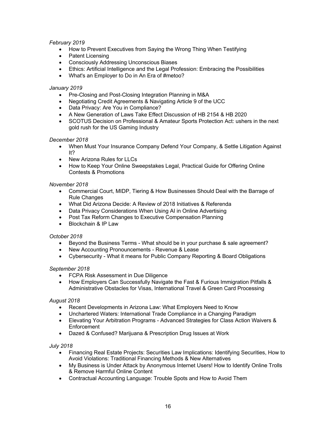#### *February 2019*

- How to Prevent Executives from Saying the Wrong Thing When Testifying
- Patent Licensing
- Consciously Addressing Unconscious Biases
- Ethics: Artificial Intelligence and the Legal Profession: Embracing the Possibilities
- What's an Employer to Do in An Era of #metoo?

#### *January 2019*

- Pre-Closing and Post-Closing Integration Planning in M&A
- Negotiating Credit Agreements & Navigating Article 9 of the UCC
- Data Privacy: Are You in Compliance?
- A New Generation of Laws Take Effect Discussion of HB 2154 & HB 2020
- SCOTUS Decision on Professional & Amateur Sports Protection Act: ushers in the next gold rush for the US Gaming Industry

#### *December 2018*

- When Must Your Insurance Company Defend Your Company, & Settle Litigation Against It?
- New Arizona Rules for LLCs
- How to Keep Your Online Sweepstakes Legal, Practical Guide for Offering Online Contests & Promotions

#### *November 2018*

- Commercial Court, MIDP, Tiering & How Businesses Should Deal with the Barrage of Rule Changes
- What Did Arizona Decide: A Review of 2018 Initiatives & Referenda
- Data Privacy Considerations When Using AI in Online Advertising
- Post Tax Reform Changes to Executive Compensation Planning
- Blockchain & IP Law

#### *October 2018*

- Beyond the Business Terms What should be in your purchase & sale agreement?
- New Accounting Pronouncements Revenue & Lease
- Cybersecurity What it means for Public Company Reporting & Board Obligations

#### *September 2018*

- FCPA Risk Assessment in Due Diligence
- How Employers Can Successfully Navigate the Fast & Furious Immigration Pitfalls & Administrative Obstacles for Visas, International Travel & Green Card Processing

#### *August 2018*

- Recent Developments in Arizona Law: What Employers Need to Know
- Unchartered Waters: International Trade Compliance in a Changing Paradigm
- Elevating Your Arbitration Programs Advanced Strategies for Class Action Waivers & Enforcement
- Dazed & Confused? Marijuana & Prescription Drug Issues at Work

#### *July 2018*

- Financing Real Estate Projects: Securities Law Implications: Identifying Securities, How to Avoid Violations: Traditional Financing Methods & New Alternatives
- My Business is Under Attack by Anonymous Internet Users! How to Identify Online Trolls & Remove Harmful Online Content
- Contractual Accounting Language: Trouble Spots and How to Avoid Them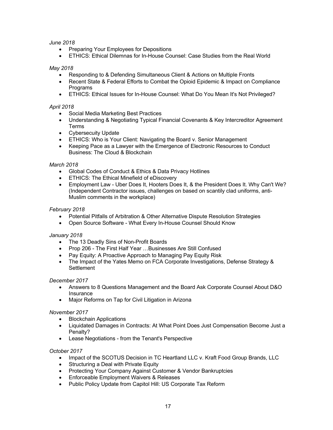#### *June 2018*

- Preparing Your Employees for Depositions
- ETHICS: Ethical Dilemnas for In-House Counsel: Case Studies from the Real World

#### *May 2018*

- Responding to & Defending Simultaneous Client & Actions on Multiple Fronts
- Recent State & Federal Efforts to Combat the Opioid Epidemic & Impact on Compliance **Programs**
- ETHICS: Ethical Issues for In-House Counsel: What Do You Mean It's Not Privileged?

#### *April 2018*

- Social Media Marketing Best Practices
- Understanding & Negotiating Typical Financial Covenants & Key Intercreditor Agreement Terms
- Cybersecuity Update
- ETHICS: Who is Your Client: Navigating the Board v. Senior Management
- Keeping Pace as a Lawyer with the Emergence of Electronic Resources to Conduct Business: The Cloud & Blockchain

#### *March 2018*

- Global Codes of Conduct & Ethics & Data Privacy Hotlines
- ETHICS: The Ethical Minefield of eDiscovery
- Employment Law Uber Does It, Hooters Does It, & the President Does It. Why Can't We? (Independent Contractor issues, challenges on based on scantily clad uniforms, anti-Muslim comments in the workplace)

#### *February 2018*

- Potential Pitfalls of Arbitration & Other Alternative Dispute Resolution Strategies
- Open Source Software What Every In-House Counsel Should Know

#### *January 2018*

- The 13 Deadly Sins of Non-Profit Boards
- Prop 206 The First Half Year …Businesses Are Still Confused
- Pay Equity: A Proactive Approach to Managing Pay Equity Risk
- The Impact of the Yates Memo on FCA Corporate Investigations, Defense Strategy & **Settlement**

#### *December 2017*

- Answers to 8 Questions Management and the Board Ask Corporate Counsel About D&O Insurance
- Major Reforms on Tap for Civil Litigation in Arizona

#### *November 2017*

- Blockchain Applications
- Liquidated Damages in Contracts: At What Point Does Just Compensation Become Just a Penalty?
- Lease Negotiations from the Tenant's Perspective

#### *October 2017*

- Impact of the SCOTUS Decision in TC Heartland LLC v. Kraft Food Group Brands, LLC
- Structuring a Deal with Private Equity
- Protecting Your Company Against Customer & Vendor Bankruptcies
- Enforceable Employment Waivers & Releases
- Public Policy Update from Capitol Hill: US Corporate Tax Reform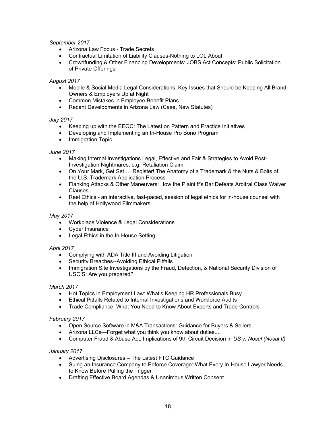#### *September 2017*

- Arizona Law Focus Trade Secrets
- Contractual Limitation of Liability Clauses-Nothing to LOL About
- Crowdfunding & Other Financing Developments: JOBS Act Concepts: Public Solicitation of Private Offerings

#### *August 2017*

- Mobile & Social Media Legal Considerations: Key Issues that Should be Keeping All Brand Owners & Employers Up at Night
- Common Mistakes in Employee Benefit Plans
- Recent Developments in Arizona Law (Case, New Statutes)

#### *July 2017*

- Keeping up with the EEOC: The Latest on Pattern and Practice Initiatives
- Developing and Implementing an In-House Pro Bono Program
- Immigration Topic

#### *June 2017*

- Making Internal Investigations Legal, Effective and Fair & Strategies to Avoid Post-Investigation Nightmares, e.g. Retaliation Claim
- On Your Mark, Get Set … Register! The Anatomy of a Trademark & the Nuts & Bolts of the U.S. Trademark Application Process
- Flanking Attacks & Other Maneuvers: How the Plaintiff's Bar Defeats Arbitral Class Waiver Clauses
- Reel Ethics an interactive, fast-paced, session of legal ethics for in-house counsel with the help of Hollywood Filmmakers

#### *May 2017*

- Workplace Violence & Legal Considerations
- Cyber Insurance
- Legal Ethics in the In-House Setting

#### *April 2017*

- Complying with ADA Title III and Avoiding Litigation
- Security Breaches--Avoiding Ethical Pitfalls
- Immigration Site Investigations by the Fraud, Detection, & National Security Division of USCIS: Are you prepared?

#### *March 2017*

- Hot Topics in Employment Law: What's Keeping HR Professionals Busy
- Ethical Pitfalls Related to Internal Investigations and Workforce Audits
- Trade Compliance: What You Need to Know About Exports and Trade Controls

#### *February 2017*

- Open Source Software in M&A Transactions: Guidance for Buyers & Sellers
- Arizona LLCs—Forget what you think you know about duties....
- Computer Fraud & Abuse Act: Implications of 9th Circuit Decision in *US v. Nosal (Nosal II)*

#### *January 2017*

- Advertising Disclosures The Latest FTC Guidance
- Suing an Insurance Company to Enforce Coverage: What Every In-House Lawyer Needs to Know Before Pulling the Trigger
- Drafting Effective Board Agendas & Unanimous Written Consent